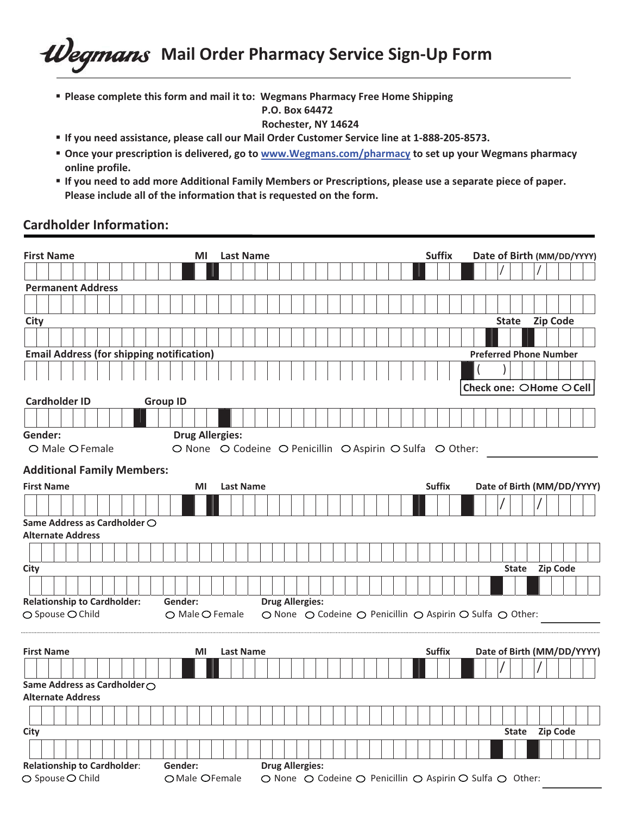# *- -***Mail Order Pharmacy Service Sign-Up Form**

**• Please complete this form and mail it to: Wegmans Pharmacy Free Home Shipping** 

## **-P.O.-Box-64472-**

- **-Rochester,-NY-14624-**
- **If you need assistance, please call our Mail Order Customer Service line at 1-888-205-8573.**
- **Once your prescription is delivered, go to www.Wegmans.com/pharmacy to set up your Wegmans pharmacy online profile.**
- " If you need to add more Additional Family Members or Prescriptions, please use a separate piece of paper. Please include all of the information that is requested on the form.

### **Cardholder Information:**

| <b>First Name</b>                                | <b>Last Name</b><br>MI                                   | <b>Suffix</b>                                            | Date of Birth (MM/DD/YYYY)      |
|--------------------------------------------------|----------------------------------------------------------|----------------------------------------------------------|---------------------------------|
|                                                  |                                                          |                                                          |                                 |
| <b>Permanent Address</b>                         |                                                          |                                                          |                                 |
|                                                  |                                                          |                                                          |                                 |
| City                                             |                                                          |                                                          | <b>Zip Code</b><br><b>State</b> |
|                                                  |                                                          |                                                          |                                 |
| <b>Email Address (for shipping notification)</b> |                                                          |                                                          | <b>Preferred Phone Number</b>   |
|                                                  |                                                          |                                                          |                                 |
|                                                  |                                                          |                                                          |                                 |
| <b>Cardholder ID</b>                             | <b>Group ID</b>                                          |                                                          | Check one: ○Home ○ Cell         |
|                                                  |                                                          |                                                          |                                 |
| Gender:                                          | <b>Drug Allergies:</b>                                   |                                                          |                                 |
| ○ Male ○ Female                                  | O None O Codeine O Penicillin O Aspirin O Sulfa O Other: |                                                          |                                 |
| <b>Additional Family Members:</b>                |                                                          |                                                          |                                 |
| <b>First Name</b>                                | <b>Last Name</b><br>ΜI                                   | <b>Suffix</b>                                            | Date of Birth (MM/DD/YYYY)      |
|                                                  |                                                          |                                                          |                                 |
|                                                  |                                                          |                                                          |                                 |
| Same Address as Cardholder O                     |                                                          |                                                          |                                 |
| <b>Alternate Address</b>                         |                                                          |                                                          |                                 |
|                                                  |                                                          |                                                          |                                 |
| City                                             |                                                          |                                                          | <b>Zip Code</b><br><b>State</b> |
|                                                  |                                                          |                                                          |                                 |
| <b>Relationship to Cardholder:</b>               | <b>Drug Allergies:</b><br>Gender:                        |                                                          |                                 |
| $\bigcirc$ Spouse $\bigcirc$ Child               | ○ Male ○ Female                                          | ○ None ○ Codeine ○ Penicillin ○ Aspirin ○ Sulfa ○ Other: |                                 |
|                                                  |                                                          |                                                          |                                 |
| <b>First Name</b>                                | <b>Last Name</b><br>ΜI                                   | <b>Suffix</b>                                            | Date of Birth (MM/DD/YYYY)      |
|                                                  |                                                          |                                                          |                                 |
| Same Address as Cardholder ○                     |                                                          |                                                          |                                 |
| <b>Alternate Address</b>                         |                                                          |                                                          |                                 |
|                                                  |                                                          |                                                          |                                 |
| City                                             |                                                          |                                                          | Zip Code<br><b>State</b>        |
|                                                  |                                                          |                                                          |                                 |
| <b>Relationship to Cardholder:</b>               | Gender:<br><b>Drug Allergies:</b>                        |                                                          |                                 |
| ○ Spouse ○ Child                                 | O Male OFemale                                           | ○ None ○ Codeine ○ Penicillin ○ Aspirin ○ Sulfa ○ Other: |                                 |